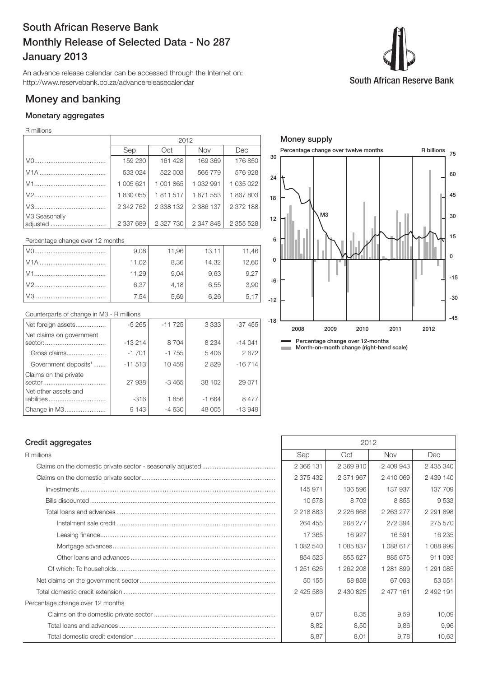# South African Reserve Bank Monthly Release of Selected Data - No 287 January 2013

An advance release calendar can be accessed through the Internet on: http://www.reservebank.co.za/advancereleasecalendar

## Money and banking

### Monetary aggregates

#### R millions

|                           | 2012      |             |            |               |  |
|---------------------------|-----------|-------------|------------|---------------|--|
|                           | Sep       | Oct         | <b>Nov</b> | Dec           |  |
|                           | 159 230   | 161 428     | 169 369    | 176 850       |  |
|                           | 533 024   | 522 003     | 566 779    | 576928        |  |
|                           | 1 005 621 | 1 001 865   | 1 032 991  | 1 0 3 5 0 2 2 |  |
|                           | 1830055   | 1811517     | 1871553    | 1867803       |  |
|                           | 2 342 762 | 2 3 3 1 3 2 | 2 386 137  | 2 372 188     |  |
| M3 Seasonally<br>adjusted | 2 337 689 | 2 327 730   | 2 347 848  | 2 355 528     |  |

Percentage change over 12 months

| MO     | 9,08  | 11,96 | 13,11 | 11,46 |
|--------|-------|-------|-------|-------|
|        | 11,02 | 8,36  | 14,32 | 12,60 |
| M1     | 11,29 | 9.04  | 9,63  | 9.27  |
| $M2$ . | 6,37  | 4,18  | 6.55  | 3,90  |
|        | .54   | 5.69  | 6.26  | 5.17  |

#### Counterparts of change in M3 - R millions

| Net foreign assets                  | $-5265$  | $-11725$ | 3 3 3 3 | $-37455$ |
|-------------------------------------|----------|----------|---------|----------|
| Net claims on government<br>sector: | $-13214$ | 8704     | 8 2 3 4 | $-14041$ |
| Gross claims                        | $-1701$  | $-1755$  | 5406    | 2672     |
| Government deposits <sup>1</sup>    | $-11513$ | 10 459   | 2829    | $-16714$ |
| Claims on the private               | 27 938   | $-3465$  | 38 102  | 29 0 71  |
| Net other assets and                | $-316$   | 1856     | $-1664$ | 8 4 7 7  |
| Change in M3                        | 9 1 4 3  | $-4630$  | 48 005  | $-13949$ |



# Money supply

| Uruan ayyı uyunu                    | — U I —   |               |               |           |
|-------------------------------------|-----------|---------------|---------------|-----------|
| R millions                          | Sep       | Oct           | Nov.          | Dec       |
|                                     | 2 366 131 | 2 369 910     | 2 409 943     | 2 435 340 |
|                                     | 2 375 432 | 2 371 967     | 2 410 069     | 2 439 140 |
|                                     | 145 971   | 136 596       | 137 937       | 137 709   |
|                                     | 10 578    | 8703          | 8855          | 9533      |
|                                     | 2 218 883 | 2 2 2 6 6 6 8 | 2 2 6 3 2 7 7 | 2 291 898 |
|                                     | 264 455   | 268 277       | 272 394       | 275 570   |
|                                     | 17 365    | 16 927        | 16 591        | 16 235    |
|                                     | 1 082 540 | 1 085 837     | 1088617       | 1 088 999 |
|                                     | 854 523   | 855 627       | 885 675       | 911 093   |
|                                     | 1 251 626 | 1 262 208     | 1 281 899     | 1 291 085 |
|                                     | 50 155    | 58 858        | 67 093        | 53 051    |
|                                     | 2 425 586 | 2 430 825     | 2 477 161     | 2 492 191 |
| Percentage change over 12 months    |           |               |               |           |
|                                     | 9.07      | 8,35          | 9,59          | 10,09     |
|                                     | 8,82      | 8,50          | 9,86          | 9,96      |
| Tatal alamanatla amalli ardamatam - | 0.07      | 0.04          | 0.70          | 400       |

#### Credit aggregates 2012

| H IIIIIIUIS                      | <b>PAD</b> | UGL           | <b>INOV</b>   | Dec.          |
|----------------------------------|------------|---------------|---------------|---------------|
|                                  | 2 366 131  | 2 369 910     | 2 409 943     | 2 435 340     |
|                                  | 2 375 432  | 2 371 967     | 2410069       | 2 439 140     |
|                                  | 145 971    | 136 596       | 137 937       | 137 709       |
|                                  | 10578      | 8703          | 8855          | 9533          |
|                                  | 2 218 883  | 2 2 2 6 6 6 8 | 2 2 6 3 2 7 7 | 2 2 9 1 8 9 8 |
|                                  | 264 455    | 268 277       | 272 394       | 275 570       |
|                                  | 17 365     | 16 927        | 16 591        | 16 235        |
|                                  | 1 082 540  | 1 085 837     | 1 088 617     | 1 088 999     |
|                                  | 854 523    | 855 627       | 885 675       | 911 093       |
|                                  | 1 251 626  | 1 262 208     | 1 281 899     | 1 291 085     |
|                                  | 50 155     | 58 858        | 67 093        | 53 051        |
|                                  | 2 425 586  | 2 430 825     | 2 477 161     | 2 492 191     |
| Percentage change over 12 months |            |               |               |               |
|                                  | 9.07       | 8,35          | 9,59          | 10,09         |
|                                  | 8,82       | 8,50          | 9,86          | 9,96          |
|                                  | 8,87       | 8,01          | 9,78          | 10,63         |

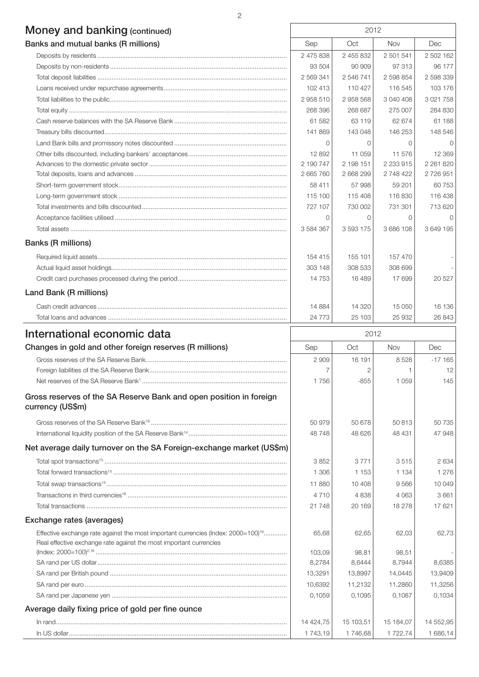# Money and banking (continued) 2012

| Banks and mutual banks (R millions) | Sep       | Oct           | <b>Nov</b>  | Dec           |
|-------------------------------------|-----------|---------------|-------------|---------------|
|                                     | 2 475 838 | 2 455 832     | 2 501 541   | 2 502 162     |
|                                     | 93 504    | 90 909        | 97 313      | 96 177        |
|                                     | 2 569 341 | 2546741       | 2 598 854   | 2 598 339     |
|                                     | 102 413   | 110 427       | 116 545     | 103 176       |
|                                     | 2958510   | 2958568       | 3 040 408   | 3 0 21 7 5 8  |
|                                     | 268 396   | 268 687       | 275 007     | 284 830       |
|                                     | 61 582    | 63 119        | 62 674      | 61 188        |
|                                     | 141869    | 143 048       | 146 253     | 148 546       |
|                                     | $\Omega$  |               | $\Omega$    | $\Omega$      |
|                                     | 12 892    | 11 059        | 11 576      | 12 3 69       |
|                                     | 2 190 747 | 2 198 151     | 2 2 3 9 1 5 | 2 2 6 1 8 2 0 |
|                                     | 2 665 760 | 2 668 299     | 2 748 422   | 2 726 951     |
|                                     | 58 411    | 57998         | 59 201      | 60 753        |
|                                     | 115 100   | 115 408       | 116830      | 116 438       |
|                                     | 727 107   | 730 002       | 731 301     | 713 620       |
|                                     | $\Omega$  | $\Omega$      | $\Omega$    | $\Omega$      |
|                                     | 3 584 367 | 3 5 9 3 1 7 5 | 3 686 108   | 3 649 195     |
| <b>Banks (R millions)</b>           |           |               |             |               |
|                                     | 154 415   | 155 101       | 157 470     |               |
|                                     | 303 148   | 308 533       | 308 699     |               |
|                                     | 14 7 5 3  | 16 489        | 17699       | 20 5 27       |
| Land Bank (R millions)              |           |               |             |               |
|                                     | 14 8 84   | 14 3 20       | 15 050      | 16 136        |
|                                     | 24 7 7 3  | 25 103        | 25 932      | 26 843        |
|                                     |           |               |             |               |

| International economic data                                                                   | 2012      |           |            |           |
|-----------------------------------------------------------------------------------------------|-----------|-----------|------------|-----------|
| Changes in gold and other foreign reserves (R millions)                                       | Sep       | Oct       | <b>Nov</b> | Dec       |
|                                                                                               | 2 9 0 9   | 16 191    | 8528       | $-17165$  |
|                                                                                               |           |           |            | 12        |
|                                                                                               | 1756      | $-855$    | 1 0 5 9    | 145       |
| Gross reserves of the SA Reserve Bank and open position in foreign<br>currency (US\$m)        |           |           |            |           |
|                                                                                               | 50 979    | 50 678    | 50813      | 50 735    |
|                                                                                               | 48748     | 48 626    | 48 431     | 47948     |
| Net average daily turnover on the SA Foreign-exchange market (US\$m)                          |           |           |            |           |
|                                                                                               | 3852      | 3 7 7 1   | 3515       | 2634      |
|                                                                                               | 1 30 6    | 1 1 5 3   | 1 1 3 4    | 1 2 7 6   |
|                                                                                               | 11 880    | 10 408    | 9566       | 10 049    |
|                                                                                               | 4710      | 4838      | 4 0 6 3    | 3661      |
|                                                                                               | 21 748    | 20 169    | 18 278     | 17621     |
| Exchange rates (averages)                                                                     |           |           |            |           |
| Effective exchange rate against the most important currencies (Index: 2000=100) <sup>16</sup> | 65.68     | 62,65     | 62,03      | 62,73     |
| Real effective exchange rate against the most important currencies                            |           |           |            |           |
|                                                                                               | 103,09    | 98.81     | 98,51      |           |
|                                                                                               | 8,2784    | 8,6444    | 8,7944     | 8,6385    |
|                                                                                               | 13,3291   | 13,8997   | 14,0445    | 13,9409   |
|                                                                                               | 10,6392   | 11,2132   | 11,2860    | 11,3256   |
|                                                                                               | 0,1059    | 0.1095    | 0.1087     | 0.1034    |
| Average daily fixing price of gold per fine ounce                                             |           |           |            |           |
|                                                                                               | 14 424,75 | 15 103,51 | 15 184,07  | 14 552,95 |
|                                                                                               | 1 743,19  | 1746,68   | 1 722,74   | 1 686,14  |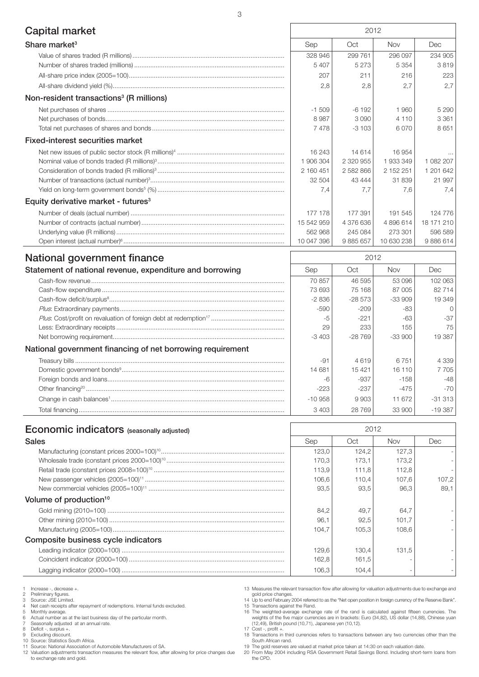| Capital market                                           | 2012       |               |            |            |
|----------------------------------------------------------|------------|---------------|------------|------------|
| Share market <sup>3</sup>                                | Sep        | Oct           | <b>Nov</b> | Dec        |
|                                                          | 328 946    | 299 761       | 296 097    | 234 905    |
|                                                          | 5 4 0 7    | 5 2 7 3       | 5 3 5 4    | 3819       |
|                                                          | 207        | 211           | 216        | 223        |
|                                                          | 2,8        | 2,8           | 2,7        | 2.7        |
| Non-resident transactions <sup>3</sup> (R millions)      |            |               |            |            |
|                                                          | $-1509$    | $-6192$       | 1960       | 5 2 9 0    |
|                                                          | 8987       | 3 0 9 0       | 4 1 1 0    | 3 3 6 1    |
|                                                          | 7478       | $-3103$       | 6070       | 8651       |
| <b>Fixed-interest securities market</b>                  |            |               |            |            |
|                                                          | 16 243     | 14 614        | 16 954     |            |
|                                                          | 1 906 304  | 2 3 2 0 9 5 5 | 1933349    | 1 082 207  |
|                                                          | 2 160 451  | 2 582 866     | 2 152 251  | 1 201 642  |
|                                                          | 32 504     | 43 444        | 31839      | 21 997     |
|                                                          | 7,4        | 7.7           | 7,6        | 7,4        |
| Equity derivative market - futures <sup>3</sup>          |            |               |            |            |
|                                                          | 177 178    | 177 391       | 191 545    | 124 776    |
|                                                          | 15 542 959 | 4 376 636     | 4896614    | 18 171 210 |
|                                                          | 562 968    | 245 084       | 273 301    | 596 589    |
|                                                          | 10 047 396 | 9 885 657     | 10 630 238 | 9886614    |
| National government finance                              | 2012       |               |            |            |
| Statement of national revenue, expenditure and borrowing | Sep        | Oct           | <b>Nov</b> | Dec        |
|                                                          | 70 857     | 46 595        | 53 096     | 102 063    |
|                                                          | 73693      | 75 168        | 87 005     | 82 714     |
|                                                          | $-2836$    | $-28573$      | $-33909$   | 19 349     |

|                                                            | 73 693    | 75 168   | 87005     | 82 714    |
|------------------------------------------------------------|-----------|----------|-----------|-----------|
|                                                            | $-2836$   | $-28573$ | $-33.909$ | 19 349    |
|                                                            | $-590$    | $-209$   | -83       | $\Omega$  |
|                                                            | -5        | $-221$   | -63       | $-37$     |
|                                                            | 29        | 233      | 155       | 75        |
|                                                            | $-3403$   | $-28769$ | $-33.900$ | 19387     |
| National government financing of net borrowing requirement |           |          |           |           |
|                                                            | $-91$     | 4619     | 6751      | 4 3 3 9   |
|                                                            | 14 681    | 15 4 21  | 16 110    | 7 7 0 5   |
|                                                            | -6        | $-937$   | $-158$    | $-48$     |
|                                                            | $-223$    | $-237$   | $-475$    | $-70$     |
|                                                            | $-10.958$ | 9903     | 11 672    | $-31313$  |
|                                                            | 3 4 0 3   | 28 769   | 33 900    | $-19.387$ |

| <b>Economic indicators</b> (seasonally adjusted) | 2012  |       |            |       |
|--------------------------------------------------|-------|-------|------------|-------|
| <b>Sales</b>                                     | Sep   | Oct   | <b>Nov</b> | Dec.  |
|                                                  | 123.0 | 124.2 | 127,3      |       |
|                                                  | 170.3 | 173.1 | 173.2      |       |
|                                                  | 113.9 | 111.8 | 112.8      |       |
|                                                  | 106,6 | 110.4 | 107.6      | 107,2 |
|                                                  | 93.5  | 93.5  | 96.3       | 89.1  |
| Volume of production <sup>10</sup>               |       |       |            |       |
|                                                  | 84.2  | 49.7  | 64.7       |       |
|                                                  | 96.1  | 92,5  | 101.7      |       |
|                                                  | 104.7 | 105.3 | 108.6      |       |
| Composite business cycle indicators              |       |       |            |       |
|                                                  | 129,6 | 130.4 | 131.5      |       |
|                                                  | 162.8 | 161.5 |            |       |
|                                                  | 106,3 | 104.4 |            |       |

1 Increase -, decrease +.<br>2 Preliminary figures.

2 Preliminary figures. 3 Source: JSE Limited.

4 Net cash receipts after repayment of redemptions. Internal funds excluded.<br>5 Monthly average.

5 Monthly average. 6 Actual number as at the last business day of the particular month. 7 Seasonally adjusted at an annual rate.

8 Deficit -, surplus +.<br>9 Excluding discount

9 Excluding discount. 10 Source: Statistics South Africa. 11 Source: National Association of Automobile Manufacturers of SA.

12 Valuation adjustments transaction measures the relevant flow, after allowing for price changes due to exchange rate and gold.

13 Measures the relevant transaction flow after allowing for valuation adjustments due to exchange and gold price changes. 14 Up to end February 2004 referred to as the "Net open position in foreign currency of the Reserve Bank".

15 Transactions against the Rand.<br>16 The weighted-average exchange rate of the rand is calculated against fifteen currencies. The<br>weights of the five major currencies are in brackets: Euro (34,82), US dollar (14,88), Chine

17 Cost -, profit +. 18 Transactions in third currencies refers to transactions between any two currencies other than the

South African rand. 19 The gold reserves are valued at market price taken at 14:30 on each valuation date. 20 From May 2004 including RSA Government Retail Savings Bond. Including short-term loans from the CPD.